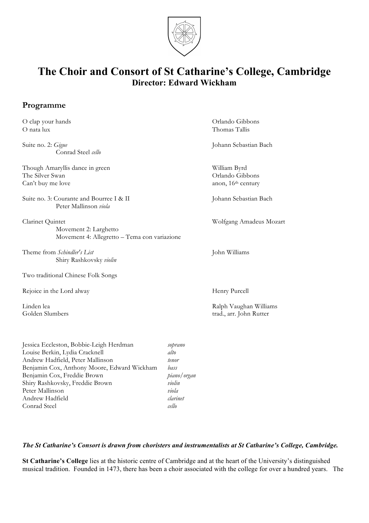

# **The Choir and Consort of St Catharine's College, Cambridge Director: Edward Wickham**

# **Programme**

| O clap your hands                                                                         | Orlando Gibbons                                                   |
|-------------------------------------------------------------------------------------------|-------------------------------------------------------------------|
| O nata lux                                                                                | Thomas Tallis                                                     |
| Suite no. 2: Gigue<br>Conrad Steel cello                                                  | Johann Sebastian Bach                                             |
| Though Amaryllis dance in green<br>The Silver Swan<br>Can't buy me love                   | William Byrd<br>Orlando Gibbons<br>anon, 16 <sup>th</sup> century |
| Suite no. 3: Courante and Bourree I & II<br>Peter Mallinson viola                         | Johann Sebastian Bach                                             |
| Clarinet Quintet<br>Movement 2: Larghetto<br>Movement 4: Allegretto - Tema con variazione | Wolfgang Amadeus Mozart                                           |
| Theme from Schindler's List<br>Shiry Rashkovsky violin                                    | John Williams                                                     |
| Two traditional Chinese Folk Songs                                                        |                                                                   |
| Rejoice in the Lord alway                                                                 | Henry Purcell                                                     |
| Linden lea<br>Golden Slumbers                                                             | Ralph Vaughan Williams<br>trad., arr. John Rutter                 |

Jessica Eccleston, Bobbie-Leigh Herdman *soprano* Louise Berkin, Lydia Cracknell *alto* Andrew Hadfield, Peter Mallinson *tenor* Benjamin Cox, Anthony Moore, Edward Wickham *bass* Benjamin Cox, Freddie Brown *piano/organ* Shiry Rashkovsky, Freddie Brown *violin* Peter Mallinson *viola* Andrew Hadfield *clarinet* Conrad Steel *cello*

## *The St Catharine's Consort is drawn from choristers and instrumentalists at St Catharine's College, Cambridge.*

**St Catharine's College** lies at the historic centre of Cambridge and at the heart of the University's distinguished musical tradition. Founded in 1473, there has been a choir associated with the college for over a hundred years. The